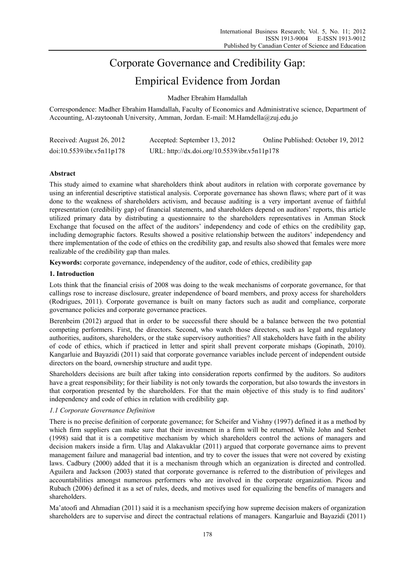# Corporate Governance and Credibility Gap: Empirical Evidence from Jordan

Madher Ebrahim Hamdallah

Correspondence: Madher Ebrahim Hamdallah, Faculty of Economics and Administrative science, Department of Accounting, Al-zaytoonah University, Amman, Jordan. E-mail: M.Hamdella@zuj.edu.jo

| Received: August 26, 2012 | Accepted: September 13, 2012                 | Online Published: October 19, 2012 |
|---------------------------|----------------------------------------------|------------------------------------|
| doi:10.5539/ibr.v5n11p178 | URL: http://dx.doi.org/10.5539/ibr.v5n11p178 |                                    |

# **Abstract**

This study aimed to examine what shareholders think about auditors in relation with corporate governance by using an inferential descriptive statistical analysis. Corporate governance has shown flaws; where part of it was done to the weakness of shareholders activism, and because auditing is a very important avenue of faithful representation (credibility gap) of financial statements, and shareholders depend on auditors' reports, this article utilized primary data by distributing a questionnaire to the shareholders representatives in Amman Stock Exchange that focused on the affect of the auditors' independency and code of ethics on the credibility gap, including demographic factors. Results showed a positive relationship between the auditors' independency and there implementation of the code of ethics on the credibility gap, and results also showed that females were more realizable of the credibility gap than males.

**Keywords:** corporate governance, independency of the auditor, code of ethics, credibility gap

# **1. Introduction**

Lots think that the financial crisis of 2008 was doing to the weak mechanisms of corporate governance, for that callings rose to increase disclosure, greater independence of board members, and proxy access for shareholders (Rodrigues, 2011). Corporate governance is built on many factors such as audit and compliance, corporate governance policies and corporate governance practices.

Berenbeim (2012) argued that in order to be successful there should be a balance between the two potential competing performers. First, the directors. Second, who watch those directors, such as legal and regulatory authorities, auditors, shareholders, or the stake supervisory authorities? All stakeholders have faith in the ability of code of ethics, which if practiced in letter and spirit shall prevent corporate mishaps (Gopinath, 2010). Kangarluie and Bayazidi (2011) said that corporate governance variables include percent of independent outside directors on the board, ownership structure and audit type.

Shareholders decisions are built after taking into consideration reports confirmed by the auditors. So auditors have a great responsibility; for their liability is not only towards the corporation, but also towards the investors in that corporation presented by the shareholders. For that the main objective of this study is to find auditors' independency and code of ethics in relation with credibility gap.

# *1.1 Corporate Governance Definition*

There is no precise definition of corporate governance; for Scheifer and Vishny (1997) defined it as a method by which firm suppliers can make sure that their investment in a firm will be returned. While John and Senbet (1998) said that it is a competitive mechanism by which shareholders control the actions of managers and decision makers inside a firm. Ulaș and Alakavuklar (2011) argued that corporate governance aims to prevent management failure and managerial bad intention, and try to cover the issues that were not covered by existing laws. Cadbury (2000) added that it is a mechanism through which an organization is directed and controlled. Aguilera and Jackson (2003) stated that corporate governance is referred to the distribution of privileges and accountabilities amongst numerous performers who are involved in the corporate organization. Picou and Rubach (2006) defined it as a set of rules, deeds, and motives used for equalizing the benefits of managers and shareholders.

Ma'atoofi and Ahmadian (2011) said it is a mechanism specifying how supreme decision makers of organization shareholders are to supervise and direct the contractual relations of managers. Kangarluie and Bayazidi (2011)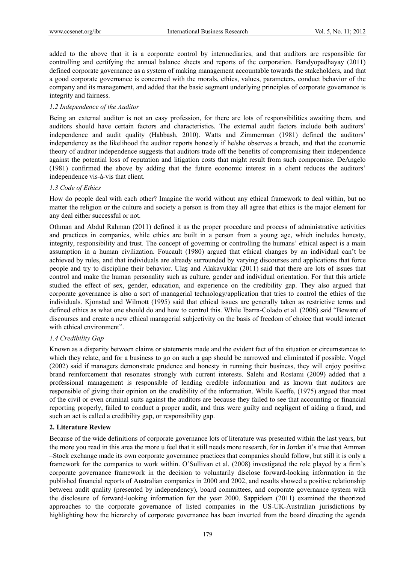added to the above that it is a corporate control by intermediaries, and that auditors are responsible for controlling and certifying the annual balance sheets and reports of the corporation. Bandyopadhayay (2011) defined corporate governance as a system of making management accountable towards the stakeholders, and that a good corporate governance is concerned with the morals, ethics, values, parameters, conduct behavior of the company and its management, and added that the basic segment underlying principles of corporate governance is integrity and fairness.

# *1.2 Independence of the Auditor*

Being an external auditor is not an easy profession, for there are lots of responsibilities awaiting them, and auditors should have certain factors and characteristics. The external audit factors include both auditors' independence and audit quality (Habbash, 2010). Watts and Zimmerman (1981) defined the auditors' independency as the likelihood the auditor reports honestly if he/she observes a breach, and that the economic theory of auditor independence suggests that auditors trade off the benefits of compromising their independence against the potential loss of reputation and litigation costs that might result from such compromise. DeAngelo (1981) confirmed the above by adding that the future economic interest in a client reduces the auditors' independence vis-à-vis that client.

# *1.3 Code of Ethics*

How do people deal with each other? Imagine the world without any ethical framework to deal within, but no matter the religion or the culture and society a person is from they all agree that ethics is the major element for any deal either successful or not.

Othman and Abdul Rahman (2011) defined it as the proper procedure and process of administrative activities and practices in companies, while ethics are built in a person from a young age, which includes honesty, integrity, responsibility and trust. The concept of governing or controlling the humans' ethical aspect is a main assumption in a human civilization. Foucault (1980) argued that ethical changes by an individual can't be achieved by rules, and that individuals are already surrounded by varying discourses and applications that force people and try to discipline their behavior. Ulaș and Alakavuklar (2011) said that there are lots of issues that control and make the human personality such as culture, gender and individual orientation. For that this article studied the effect of sex, gender, education, and experience on the credibility gap. They also argued that corporate governance is also a sort of managerial technology/application that tries to control the ethics of the individuals. Kjonstad and Wilmott (1995) said that ethical issues are generally taken as restrictive terms and defined ethics as what one should do and how to control this. While Ibarra-Colado et al. (2006) said "Beware of discourses and create a new ethical managerial subjectivity on the basis of freedom of choice that would interact with ethical environment".

# *1.4 Credibility Gap*

Known as a disparity between claims or statements made and the evident fact of the situation or circumstances to which they relate, and for a business to go on such a gap should be narrowed and eliminated if possible. Vogel (2002) said if managers demonstrate prudence and honesty in running their business, they will enjoy positive brand reinforcement that resonates strongly with current interests. Salehi and Rostami (2009) added that a professional management is responsible of lending credible information and as known that auditors are responsible of giving their opinion on the credibility of the information. While Keeffe, (1975) argued that most of the civil or even criminal suits against the auditors are because they failed to see that accounting or financial reporting properly, failed to conduct a proper audit, and thus were guilty and negligent of aiding a fraud, and such an act is called a credibility gap, or responsibility gap.

## **2. Literature Review**

Because of the wide definitions of corporate governance lots of literature was presented within the last years, but the more you read in this area the more u feel that it still needs more research, for in Jordan it's true that Amman –Stock exchange made its own corporate governance practices that companies should follow, but still it is only a framework for the companies to work within. O'Sullivan et al. (2008) investigated the role played by a firm's corporate governance framework in the decision to voluntarily disclose forward-looking information in the published financial reports of Australian companies in 2000 and 2002, and results showed a positive relationship between audit quality (presented by independency), board committees, and corporate governance system with the disclosure of forward-looking information for the year 2000. Sappideen (2011) examined the theorized approaches to the corporate governance of listed companies in the US-UK-Australian jurisdictions by highlighting how the hierarchy of corporate governance has been inverted from the board directing the agenda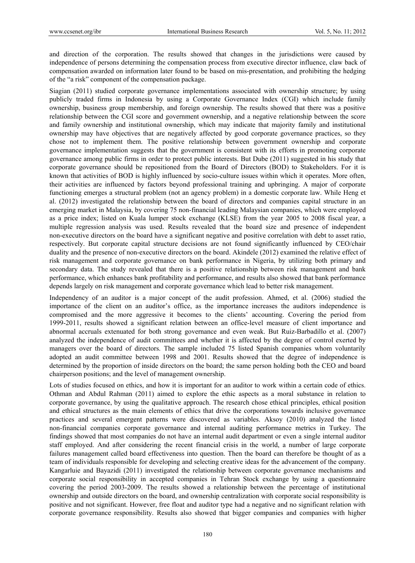and direction of the corporation. The results showed that changes in the jurisdictions were caused by independence of persons determining the compensation process from executive director influence, claw back of compensation awarded on information later found to be based on mis-presentation, and prohibiting the hedging of the "a risk" component of the compensation package.

Siagian (2011) studied corporate governance implementations associated with ownership structure; by using publicly traded firms in Indonesia by using a Corporate Governance Index (CGI) which include family ownership, business group membership, and foreign ownership. The results showed that there was a positive relationship between the CGI score and government ownership, and a negative relationship between the score and family ownership and institutional ownership, which may indicate that majority family and institutional ownership may have objectives that are negatively affected by good corporate governance practices, so they chose not to implement them. The positive relationship between government ownership and corporate governance implementation suggests that the government is consistent with its efforts in promoting corporate governance among public firms in order to protect public interests. But Dube (2011) suggested in his study that corporate governance should be repositioned from the Board of Directors (BOD) to Stakeholders. For it is known that activities of BOD is highly influenced by socio-culture issues within which it operates. More often, their activities are influenced by factors beyond professional training and upbringing. A major of corporate functioning emerges a structural problem (not an agency problem) in a domestic corporate law. While Heng et al. (2012) investigated the relationship between the board of directors and companies capital structure in an emerging market in Malaysia, by covering 75 non-financial leading Malaysian companies, which were employed as a price index; listed on Kuala lumper stock exchange (KLSE) from the year 2005 to 2008 fiscal year, a multiple regression analysis was used. Results revealed that the board size and presence of independent non-executive directors on the board have a significant negative and positive correlation with debt to asset ratio, respectively. But corporate capital structure decisions are not found significantly influenced by CEO/chair duality and the presence of non-executive directors on the board. Akindele (2012) examined the relative effect of risk management and corporate governance on bank performance in Nigeria, by utilizing both primary and secondary data. The study revealed that there is a positive relationship between risk management and bank performance, which enhances bank profitability and performance, and results also showed that bank performance depends largely on risk management and corporate governance which lead to better risk management.

Independency of an auditor is a major concept of the audit profession. Ahmed, et al. (2006) studied the importance of the client on an auditor's office, as the importance increases the auditors independence is compromised and the more aggressive it becomes to the clients' accounting. Covering the period from 1999-2011, results showed a significant relation between an office-level measure of client importance and abnormal accruals extenuated for both strong governance and even weak. But Ruiz-Barbadillo et al. (2007) analyzed the independence of audit committees and whether it is affected by the degree of control exerted by managers over the board of directors. The sample included 75 listed Spanish companies whom voluntarily adopted an audit committee between 1998 and 2001. Results showed that the degree of independence is determined by the proportion of inside directors on the board; the same person holding both the CEO and board chairperson positions; and the level of management ownership.

Lots of studies focused on ethics, and how it is important for an auditor to work within a certain code of ethics. Othman and Abdul Rahman (2011) aimed to explore the ethic aspects as a moral substance in relation to corporate governance, by using the qualitative approach. The research chose ethical principles, ethical position and ethical structures as the main elements of ethics that drive the corporations towards inclusive governance practices and several emergent patterns were discovered as variables. Aksoy (2010) analyzed the listed non-financial companies corporate governance and internal auditing performance metrics in Turkey. The findings showed that most companies do not have an internal audit department or even a single internal auditor staff employed. And after considering the recent financial crisis in the world, a number of large corporate failures management called board effectiveness into question. Then the board can therefore be thought of as a team of individuals responsible for developing and selecting creative ideas for the advancement of the company. Kangarluie and Bayazidi (2011) investigated the relationship between corporate governance mechanisms and corporate social responsibility in accepted companies in Tehran Stock exchange by using a questionnaire covering the period 2003-2009. The results showed a relationship between the percentage of institutional ownership and outside directors on the board, and ownership centralization with corporate social responsibility is positive and not significant. However, free float and auditor type had a negative and no significant relation with corporate governance responsibility. Results also showed that bigger companies and companies with higher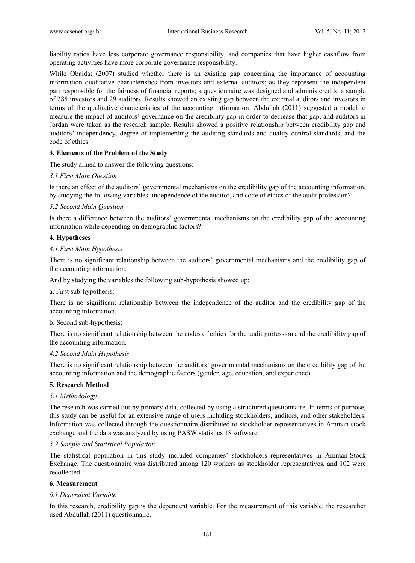liability ratios have less corporate governance responsibility, and companies that have higher cashflow from operating activities have more corporate governance responsibility.

While Obaidat (2007) studied whether there is an existing gap concerning the importance of accounting information qualitative characteristics from investors and external auditors; as they represent the independent part responsible for the fairness of financial reports; a questionnaire was designed and administered to a sample of 285 investors and 29 auditors. Results showed an existing gap between the external auditors and investors in terms of the qualitative characteristics of the accounting information. Abdullah (2011) suggested a model to measure the impact of auditors' governance on the credibility gap in order to decrease that gap, and auditors in Jordan were taken as the research sample. Results showed a positive relationship between credibility gap and auditors' independency, degree of implementing the auditing standards and quality control standards, and the code of ethics.

## **3. Elements of the Problem of the Study**

The study aimed to answer the following questions:

## *3.1 First Main Question*

Is there an effect of the auditors' governmental mechanisms on the credibility gap of the accounting information, by studying the following variables: independence of the auditor, and code of ethics of the audit profession?

## *3.2 Second Main Question*

Is there a difference between the auditors' governmental mechanisms on the credibility gap of the accounting information while depending on demographic factors?

## **4. Hypotheses**

## *4.1 First Main Hypothesis*

There is no significant relationship between the auditors' governmental mechanisms and the credibility gap of the accounting information.

And by studying the variables the following sub-hypothesis showed up:

## a. First sub-hypothesis:

There is no significant relationship between the independence of the auditor and the credibility gap of the accounting information.

## b. Second sub-hypothesis:

There is no significant relationship between the codes of ethics for the audit profession and the credibility gap of the accounting information.

## *4.2 Second Main Hypothesis*

There is no significant relationship between the auditors' governmental mechanisms on the credibility gap of the accounting information and the demographic factors (gender, age, education, and experience).

## **5. Research Method**

## *5.1 Methodology*

The research was carried out by primary data, collected by using a structured questionnaire. In terms of purpose, this study can be useful for an extensive range of users including stockholders, auditors, and other stakeholders. Information was collected through the questionnaire distributed to stockholder representatives in Amman-stock exchange and the data was analyzed by using PASW statistics 18 software.

#### *5.2 Sample and Statistical Population*

The statistical population in this study included companies' stockholders representatives in Amman-Stock Exchange. The questionnaire was distributed among 120 workers as stockholder representatives, and 102 were recollected.

## **6. Measurement**

## *6.1 Dependent Variable*

In this research, credibility gap is the dependent variable. For the measurement of this variable, the researcher used Abdullah (2011) questionnaire.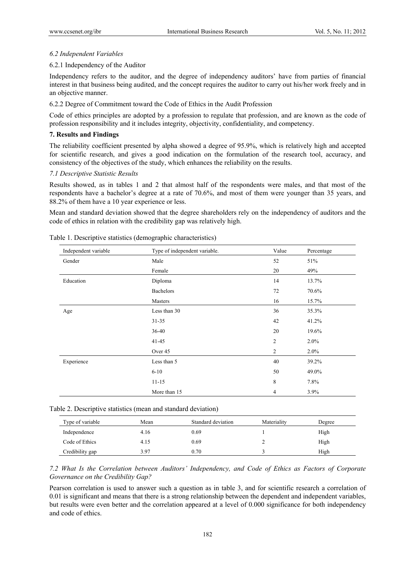# *6.2 Independent Variables*

# 6.2.1 Independency of the Auditor

Independency refers to the auditor, and the degree of independency auditors' have from parties of financial interest in that business being audited, and the concept requires the auditor to carry out his/her work freely and in an objective manner.

6.2.2 Degree of Commitment toward the Code of Ethics in the Audit Profession

Code of ethics principles are adopted by a profession to regulate that profession, and are known as the code of profession responsibility and it includes integrity, objectivity, confidentiality, and competency.

# **7. Results and Findings**

The reliability coefficient presented by alpha showed a degree of 95.9%, which is relatively high and accepted for scientific research, and gives a good indication on the formulation of the research tool, accuracy, and consistency of the objectives of the study, which enhances the reliability on the results.

# *7.1 Descriptive Statistic Results*

Results showed, as in tables 1 and 2 that almost half of the respondents were males, and that most of the respondents have a bachelor's degree at a rate of 70.6%, and most of them were younger than 35 years, and 88.2% of them have a 10 year experience or less.

Mean and standard deviation showed that the degree shareholders rely on the independency of auditors and the code of ethics in relation with the credibility gap was relatively high.

| Independent variable | Type of independent variable. | Value          | Percentage |
|----------------------|-------------------------------|----------------|------------|
| Gender               | Male                          | 52             | 51%        |
|                      | Female                        | 20             | 49%        |
| Education            | Diploma                       | 14             | 13.7%      |
|                      | <b>Bachelors</b>              | 72             | 70.6%      |
|                      | Masters                       | 16             | 15.7%      |
| Age                  | Less than 30                  | 36             | 35.3%      |
|                      | $31 - 35$                     | 42             | 41.2%      |
|                      | $36-40$                       | 20             | 19.6%      |
|                      | $41 - 45$                     | $\overline{2}$ | $2.0\%$    |
|                      | Over 45                       | $\overline{2}$ | $2.0\%$    |
| Experience           | Less than 5                   | 40             | 39.2%      |
|                      | $6 - 10$                      | 50             | 49.0%      |
|                      | $11 - 15$                     | 8              | 7.8%       |
|                      | More than 15                  | $\overline{4}$ | 3.9%       |

Table 1. Descriptive statistics (demographic characteristics)

| Table 2. Descriptive statistics (mean and standard deviation) |  |  |
|---------------------------------------------------------------|--|--|
|                                                               |  |  |

| Type of variable | Mean | Standard deviation | Materiality | Degree |
|------------------|------|--------------------|-------------|--------|
| Independence     | 4.16 | 0.69               |             | High   |
| Code of Ethics   | 4.15 | 0.69               |             | High   |
| Credibility gap  | 3.97 | 0.70               |             | High   |

*7.2 What Is the Correlation between Auditors' Independency, and Code of Ethics as Factors of Corporate Governance on the Credibility Gap?* 

Pearson correlation is used to answer such a question as in table 3, and for scientific research a correlation of 0.01 is significant and means that there is a strong relationship between the dependent and independent variables, but results were even better and the correlation appeared at a level of 0.000 significance for both independency and code of ethics.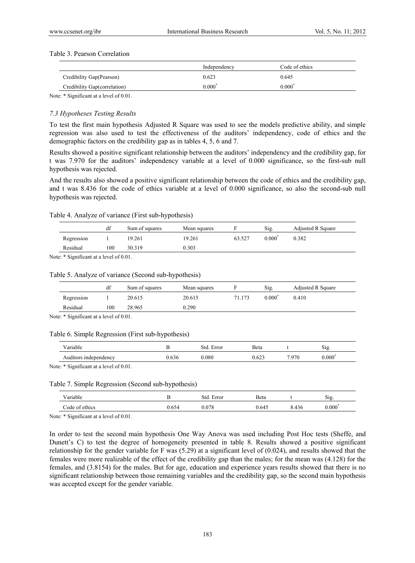#### Table 3. Pearson Correlation

|                               | Independency | Code of ethics |
|-------------------------------|--------------|----------------|
| Credibility Gap (Pearson)     | 0.623        | 0.645          |
| Credibility Gap (correlation) | $0.000*$     | $0.000*$       |

Note: \* Significant at a level of 0.01.

# *7.3 Hypotheses Testing Results*

To test the first main hypothesis Adjusted R Square was used to see the models predictive ability, and simple regression was also used to test the effectiveness of the auditors' independency, code of ethics and the demographic factors on the credibility gap as in tables 4, 5, 6 and 7.

Results showed a positive significant relationship between the auditors' independency and the credibility gap, for t was 7.970 for the auditors' independency variable at a level of 0.000 significance, so the first-sub null hypothesis was rejected.

And the results also showed a positive significant relationship between the code of ethics and the credibility gap, and t was 8.436 for the code of ethics variable at a level of 0.000 significance, so also the second-sub null hypothesis was rejected.

#### Table 4. Analyze of variance (First sub-hypothesis)

|            | df  | Sum of squares | Mean squares |        | Sig.            | <b>Adjusted R Square</b> |
|------------|-----|----------------|--------------|--------|-----------------|--------------------------|
| Regression |     | 19.261         | 19.261       | 63.527 | $0.000^{\circ}$ | 0.382                    |
| Residual   | 100 | 30.319         | 0.303        |        |                 |                          |

Note: \* Significant at a level of 0.01.

## Table 5. Analyze of variance (Second sub-hypothesis)

|            | df  | Sum of squares | Mean squares |        | Sig.  | <b>Adjusted R Square</b> |
|------------|-----|----------------|--------------|--------|-------|--------------------------|
| Regression |     | 20.615         | 20.615       | 71.173 | 0.000 | 0.410                    |
| Residual   | 100 | 28.965         | 0.290        |        |       |                          |

Note: \* Significant at a level of 0.01.

## Table 6. Simple Regression (First sub-hypothesis)

| <b>**</b> ***<br>/ariable |                | Std<br>Error | Beta                      |      | $\sim$<br>$\mathrm{S1g}$ |  |
|---------------------------|----------------|--------------|---------------------------|------|--------------------------|--|
| independency<br>uditors   | $\sim$<br>.636 | 0.080        | $\epsilon \gamma$<br>0.02 | .970 | 0.000                    |  |

Note: \* Significant at a level of 0.01.

#### Table 7. Simple Regression (Second sub-hypothesis)

| Variable       |      | Std.<br>Error | Beta  |       | $\sim$<br>S12            |
|----------------|------|---------------|-------|-------|--------------------------|
| Code of ethics | .654 | 0.078         | 0.645 | 3.436 | $0.000\mathrm{^{\circ}}$ |

Note: \* Significant at a level of 0.01.

In order to test the second main hypothesis One Way Anova was used including Post Hoc tests (Sheffe, and Dunett's C) to test the degree of homogeneity presented in table 8. Results showed a positive significant relationship for the gender variable for F was  $(5.29)$  at a significant level of  $(0.024)$ , and results showed that the females were more realizable of the effect of the credibility gap than the males; for the mean was (4.128) for the females, and (3.8154) for the males. But for age, education and experience years results showed that there is no significant relationship between those remaining variables and the credibility gap, so the second main hypothesis was accepted except for the gender variable.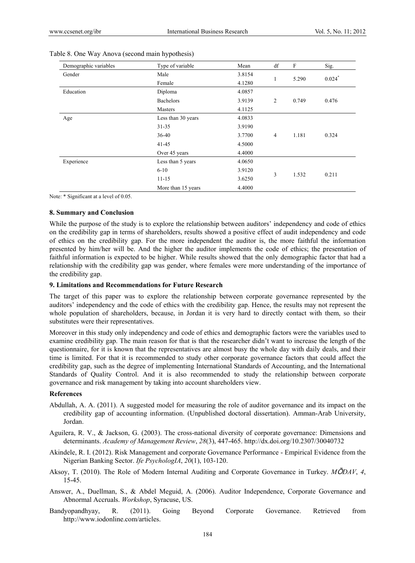| Demographic variables | Type of variable   | Mean   | df             | F     | Sig.     |
|-----------------------|--------------------|--------|----------------|-------|----------|
| Gender                | Male               | 3.8154 |                |       |          |
|                       | Female             | 4.1280 | 1              | 5.290 | $0.024*$ |
| Education             | Diploma            | 4.0857 |                |       |          |
|                       | <b>Bachelors</b>   | 3.9139 | $\overline{2}$ | 0.749 | 0.476    |
|                       | <b>Masters</b>     | 4.1125 |                |       |          |
| Age                   | Less than 30 years | 4.0833 |                |       |          |
|                       | $31 - 35$          | 3.9190 |                |       |          |
|                       | $36 - 40$          | 3.7700 | $\overline{4}$ | 1.181 | 0.324    |
|                       | $41 - 45$          | 4.5000 |                |       |          |
|                       | Over 45 years      | 4.4000 |                |       |          |
| Experience            | Less than 5 years  | 4.0650 |                |       |          |
|                       | $6 - 10$           | 3.9120 |                |       |          |
|                       | $11 - 15$          | 3.6250 | 3              | 1.532 | 0.211    |
|                       | More than 15 years | 4.4000 |                |       |          |

#### Table 8. One Way Anova (second main hypothesis)

Note: \* Significant at a level of 0.05.

#### **8. Summary and Conclusion**

While the purpose of the study is to explore the relationship between auditors' independency and code of ethics on the credibility gap in terms of shareholders, results showed a positive effect of audit independency and code of ethics on the credibility gap. For the more independent the auditor is, the more faithful the information presented by him/her will be. And the higher the auditor implements the code of ethics; the presentation of faithful information is expected to be higher. While results showed that the only demographic factor that had a relationship with the credibility gap was gender, where females were more understanding of the importance of the credibility gap.

## **9. Limitations and Recommendations for Future Research**

The target of this paper was to explore the relationship between corporate governance represented by the auditors' independency and the code of ethics with the credibility gap. Hence, the results may not represent the whole population of shareholders, because, in Jordan it is very hard to directly contact with them, so their substitutes were their representatives.

Moreover in this study only independency and code of ethics and demographic factors were the variables used to examine credibility gap. The main reason for that is that the researcher didn't want to increase the length of the questionnaire, for it is known that the representatives are almost busy the whole day with daily deals, and their time is limited. For that it is recommended to study other corporate governance factors that could affect the credibility gap, such as the degree of implementing International Standards of Accounting, and the International Standards of Quality Control. And it is also recommended to study the relationship between corporate governance and risk management by taking into account shareholders view.

#### **References**

- Abdullah, A. A. (2011). A suggested model for measuring the role of auditor governance and its impact on the credibility gap of accounting information. (Unpublished doctoral dissertation). Amman-Arab University, Jordan.
- Aguilera, R. V., & Jackson, G. (2003). The cross-national diversity of corporate governance: Dimensions and determinants. *Academy of Management Review*, *28*(3), 447-465. http://dx.doi.org/10.2307/30040732
- Akindele, R. I. (2012). Risk Management and corporate Governance Performance Empirical Evidence from the Nigerian Banking Sector. *Ife PsychologIA*, *20*(1), 103-120.
- Aksoy, T. (2010). The Role of Modern Internal Auditing and Corporate Governance in Turkey. *MÖDAV*, 4, 15-45.
- Answer, A., Duellman, S., & Abdel Meguid, A. (2006). Auditor Independence, Corporate Governance and Abnormal Accruals. *Workshop*, Syracuse, US.
- Bandyopandhyay, R. (2011). Going Beyond Corporate Governance. Retrieved from http://www.iodonline.com/articles.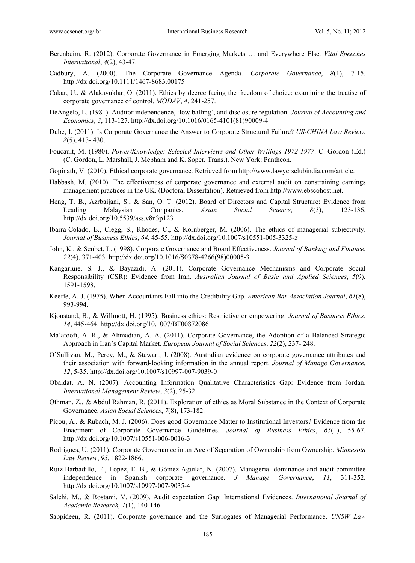- Berenbeim, R. (2012). Corporate Governance in Emerging Markets … and Everywhere Else. *Vital Speeches International*, *4*(2), 43-47.
- Cadbury, A. (2000). The Corporate Governance Agenda. *Corporate Governance*, *8*(1), 7-15. http://dx.doi.org/10.1111/1467-8683.00175
- Cakar, U., & Alakavuklar, O. (2011). Ethics by decree facing the freedom of choice: examining the treatise of corporate governance of control. *MÖDAV*, *4*, 241-257.
- DeAngelo, L. (1981). Auditor independence, 'low balling', and disclosure regulation. *Journal of Accounting and Economics*, *3*, 113-127. http://dx.doi.org/10.1016/0165-4101(81)90009-4
- Dube, I. (2011). Is Corporate Governance the Answer to Corporate Structural Failure? *US-CHINA Law Review*, *8*(5), 413- 430.
- Foucault, M. (1980). *Power/Knowledge: Selected Interviews and Other Writings 1972-1977*. C. Gordon (Ed.) (C. Gordon, L. Marshall, J. Mepham and K. Soper, Trans.). New York: Pantheon.
- Gopinath, V. (2010). Ethical corporate governance. Retrieved from http://www.lawyersclubindia.com/article.
- Habbash, M. (2010). The effectiveness of corporate governance and external audit on constraining earnings management practices in the UK. (Doctoral Dissertation). Retrieved from http://www.ebscohost.net.
- Heng, T. B., Azrbaijani, S., & San, O. T. (2012). Board of Directors and Capital Structure: Evidence from Leading Malaysian Companies. *Asian Social Science*, *8*(3), 123-136. http://dx.doi.org/10.5539/ass.v8n3p123
- Ibarra-Colado, E., Clegg, S., Rhodes, C., & Kornberger, M. (2006). The ethics of managerial subjectivity. *Journal of Business Ethics*, *64*, 45-55. http://dx.doi.org/10.1007/s10551-005-3325-z
- John, K., & Senbet, L. (1998). Corporate Governance and Board Effectiveness. *Journal of Banking and Finance*, *22*(4), 371-403. http://dx.doi.org/10.1016/S0378-4266(98)00005-3
- Kangarluie, S. J., & Bayazidi, A. (2011). Corporate Governance Mechanisms and Corporate Social Responsibility (CSR): Evidence from Iran. *Australian Journal of Basic and Applied Sciences*, *5*(9), 1591-1598.
- Keeffe, A. J. (1975). When Accountants Fall into the Credibility Gap. *American Bar Association Journal*, *61*(8), 993-994.
- Kjonstand, B., & Willmott, H. (1995). Business ethics: Restrictive or empowering. *Journal of Business Ethics*, *14*, 445-464. http://dx.doi.org/10.1007/BF00872086
- Ma'atoofi, A. R., & Ahmadian, A. A. (2011). Corporate Governance, the Adoption of a Balanced Strategic Approach in Iran's Capital Market. *European Journal of Social Sciences*, *22*(2), 237- 248.
- O'Sullivan, M., Percy, M., & Stewart, J. (2008). Australian evidence on corporate governance attributes and their association with forward-looking information in the annual report. *Journal of Manage Governance*, *12*, 5-35. http://dx.doi.org/10.1007/s10997-007-9039-0
- Obaidat, A. N. (2007). Accounting Information Qualitative Characteristics Gap: Evidence from Jordan. *International Management Review*, *3*(2), 25-32.
- Othman, Z., & Abdul Rahman, R. (2011). Exploration of ethics as Moral Substance in the Context of Corporate Governance. *Asian Social Sciences*, *7*(8), 173-182.
- Picou, A., & Rubach, M. J. (2006). Does good Governance Matter to Institutional Investors? Evidence from the Enactment of Corporate Governance Guidelines. *Journal of Business Ethics*, *65*(1), 55-67. http://dx.doi.org/10.1007/s10551-006-0016-3
- Rodrigues, U. (2011). Corporate Governance in an Age of Separation of Ownership from Ownership. *Minnesota Law Review*, *95*, 1822-1866.
- Ruiz-Barbadillo, E., Lόpez, E. B., & Gόmez-Aguilar, N. (2007). Managerial dominance and audit committee independence in Spanish corporate governance. *J Manage Governance*, *11*, 311-352. http://dx.doi.org/10.1007/s10997-007-9035-4
- Salehi, M., & Rostami, V. (2009). Audit expectation Gap: International Evidences. *International Journal of Academic Research, 1*(1), 140-146.
- Sappideen, R. (2011). Corporate governance and the Surrogates of Managerial Performance. *UNSW Law*